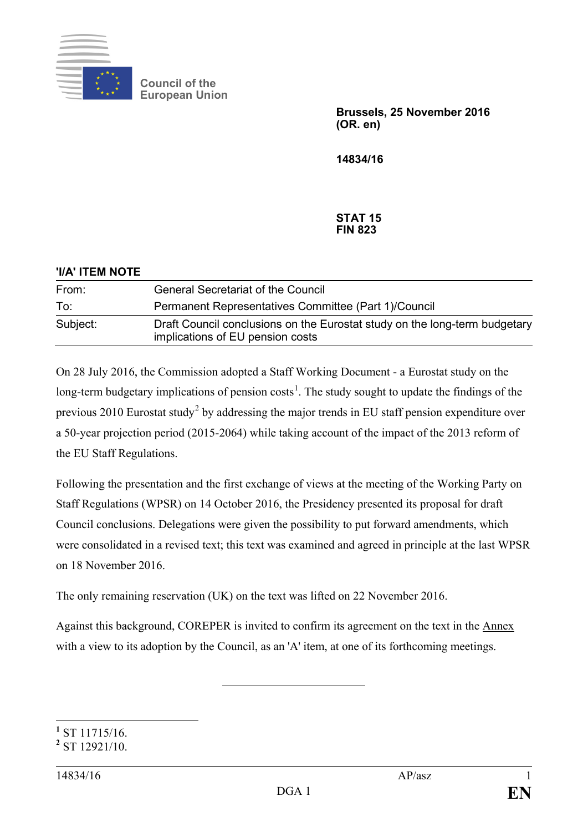

**Council of the European Union**

> **Brussels, 25 November 2016 (OR. en)**

**14834/16**

## **STAT 15 FIN 823**

| 'I/A' ITEM NOTE |                                                                                                                |
|-----------------|----------------------------------------------------------------------------------------------------------------|
| From:           | <b>General Secretariat of the Council</b>                                                                      |
| To:             | Permanent Representatives Committee (Part 1)/Council                                                           |
| Subject:        | Draft Council conclusions on the Eurostat study on the long-term budgetary<br>implications of EU pension costs |

On 28 July 2016, the Commission adopted a Staff Working Document - a Eurostat study on the long-term budgetary implications of pension costs<sup>[1](#page-0-0)</sup>. The study sought to update the findings of the previous [2](#page-0-1)010 Eurostat study<sup>2</sup> by addressing the major trends in EU staff pension expenditure over a 50-year projection period (2015-2064) while taking account of the impact of the 2013 reform of the EU Staff Regulations.

Following the presentation and the first exchange of views at the meeting of the Working Party on Staff Regulations (WPSR) on 14 October 2016, the Presidency presented its proposal for draft Council conclusions. Delegations were given the possibility to put forward amendments, which were consolidated in a revised text; this text was examined and agreed in principle at the last WPSR on 18 November 2016.

The only remaining reservation (UK) on the text was lifted on 22 November 2016.

Against this background, COREPER is invited to confirm its agreement on the text in the Annex with a view to its adoption by the Council, as an 'A' item, at one of its forthcoming meetings.

<span id="page-0-0"></span>**<sup>1</sup>** ST 11715/16. **<sup>2</sup>** ST 12921/10.

<span id="page-0-1"></span>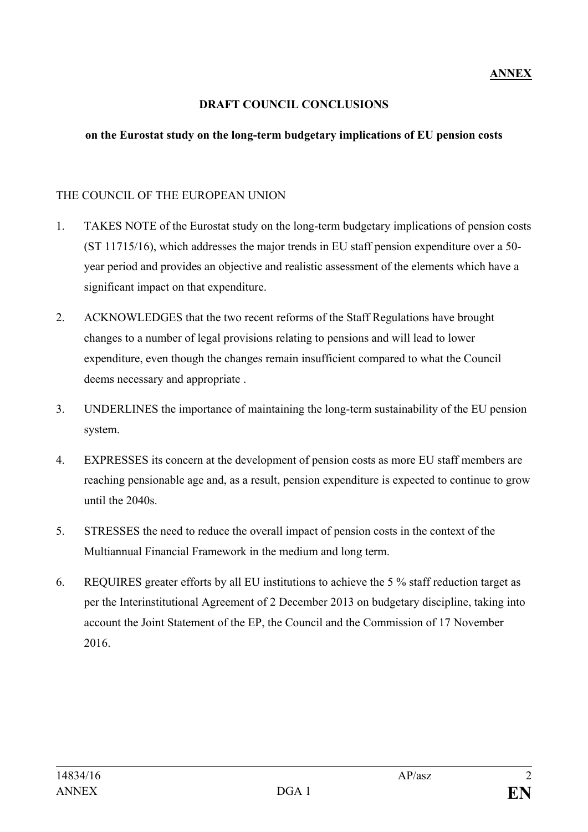## **DRAFT COUNCIL CONCLUSIONS**

## **on the Eurostat study on the long-term budgetary implications of EU pension costs**

## THE COUNCIL OF THE EUROPEAN UNION

- 1. TAKES NOTE of the Eurostat study on the long-term budgetary implications of pension costs (ST 11715/16), which addresses the major trends in EU staff pension expenditure over a 50 year period and provides an objective and realistic assessment of the elements which have a significant impact on that expenditure.
- 2. ACKNOWLEDGES that the two recent reforms of the Staff Regulations have brought changes to a number of legal provisions relating to pensions and will lead to lower expenditure, even though the changes remain insufficient compared to what the Council deems necessary and appropriate .
- 3. UNDERLINES the importance of maintaining the long-term sustainability of the EU pension system.
- 4. EXPRESSES its concern at the development of pension costs as more EU staff members are reaching pensionable age and, as a result, pension expenditure is expected to continue to grow until the 2040s.
- 5. STRESSES the need to reduce the overall impact of pension costs in the context of the Multiannual Financial Framework in the medium and long term.
- 6. REQUIRES greater efforts by all EU institutions to achieve the 5 % staff reduction target as per the Interinstitutional Agreement of 2 December 2013 on budgetary discipline, taking into account the Joint Statement of the EP, the Council and the Commission of 17 November 2016.